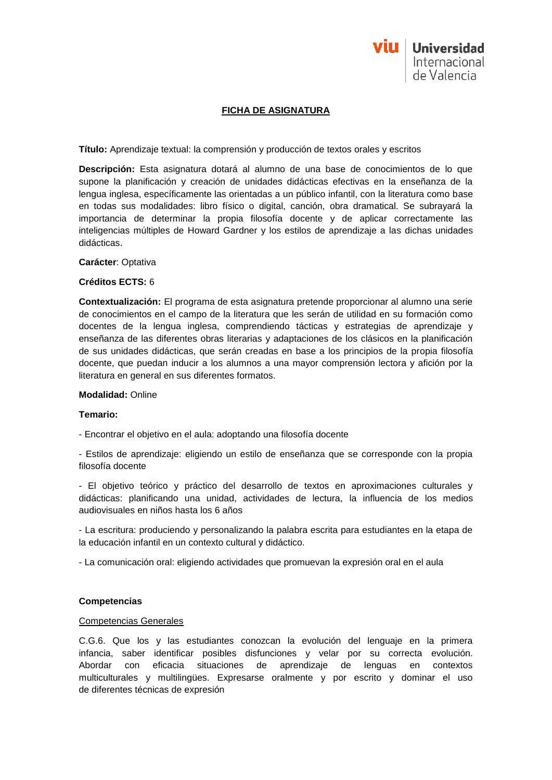

# **FICHA DE ASIGNATURA**

**Título:** Aprendizaje textual: la comprensión y producción de textos orales y escritos

**Descripción:** Esta asignatura dotará al alumno de una base de conocimientos de lo que supone la planificación y creación de unidades didácticas efectivas en la enseñanza de la lengua inglesa, específicamente las orientadas a un público infantil, con la literatura como base en todas sus modalidades: libro físico o digital, canción, obra dramatical. Se subrayará la importancia de determinar la propia filosofía docente y de aplicar correctamente las inteligencias múltiples de Howard Gardner y los estilos de aprendizaje a las dichas unidades didácticas.

### **Carácter**: Optativa

## **Créditos ECTS:** 6

**Contextualización:** El programa de esta asignatura pretende proporcionar al alumno una serie de conocimientos en el campo de la literatura que les serán de utilidad en su formación como docentes de la lengua inglesa, comprendiendo tácticas y estrategias de aprendizaje y enseñanza de las diferentes obras literarias y adaptaciones de los clásicos en la planificación de sus unidades didácticas, que serán creadas en base a los principios de la propia filosofía docente, que puedan inducir a los alumnos a una mayor comprensión lectora y afición por la literatura en general en sus diferentes formatos.

### **Modalidad:** Online

### **Temario:**

- Encontrar el objetivo en el aula: adoptando una filosofía docente

- Estilos de aprendizaje: eligiendo un estilo de enseñanza que se corresponde con la propia filosofía docente

- El objetivo teórico y práctico del desarrollo de textos en aproximaciones culturales y didácticas: planificando una unidad, actividades de lectura, la influencia de los medios audiovisuales en niños hasta los 6 años

- La escritura: produciendo y personalizando la palabra escrita para estudiantes en la etapa de la educación infantil en un contexto cultural y didáctico.

- La comunicación oral: eligiendo actividades que promuevan la expresión oral en el aula

### **Competencias**

### Competencias Generales

C.G.6. Que los y las estudiantes conozcan la evolución del lenguaje en la primera infancia, saber identificar posibles disfunciones y velar por su correcta evolución. Abordar con eficacia situaciones de aprendizaje de lenguas en contextos multiculturales y multilingües. Expresarse oralmente y por escrito y dominar el uso de diferentes técnicas de expresión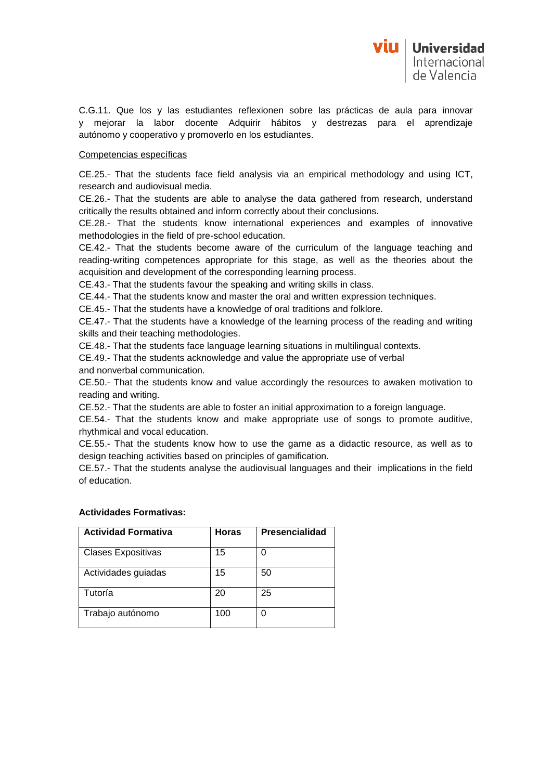C.G.11. Que los y las estudiantes reflexionen sobre las prácticas de aula para innovar y mejorar la labor docente Adquirir hábitos y destrezas para el aprendizaje autónomo y cooperativo y promoverlo en los estudiantes.

## Competencias específicas

CE.25.- That the students face field analysis via an empirical methodology and using ICT, research and audiovisual media.

CE.26.- That the students are able to analyse the data gathered from research, understand critically the results obtained and inform correctly about their conclusions.

CE.28.- That the students know international experiences and examples of innovative methodologies in the field of pre-school education.

CE.42.- That the students become aware of the curriculum of the language teaching and reading-writing competences appropriate for this stage, as well as the theories about the acquisition and development of the corresponding learning process.

CE.43.- That the students favour the speaking and writing skills in class.

CE.44.- That the students know and master the oral and written expression techniques.

CE.45.- That the students have a knowledge of oral traditions and folklore.

CE.47.- That the students have a knowledge of the learning process of the reading and writing skills and their teaching methodologies.

CE.48.- That the students face language learning situations in multilingual contexts.

CE.49.- That the students acknowledge and value the appropriate use of verbal and nonverbal communication.

CE.50.- That the students know and value accordingly the resources to awaken motivation to reading and writing.

CE.52.- That the students are able to foster an initial approximation to a foreign language.

CE.54.- That the students know and make appropriate use of songs to promote auditive, rhythmical and vocal education.

CE.55.- That the students know how to use the game as a didactic resource, as well as to design teaching activities based on principles of gamification.

CE.57.- That the students analyse the audiovisual languages and their implications in the field of education.

| <b>Actividad Formativa</b> | <b>Horas</b> | <b>Presencialidad</b> |
|----------------------------|--------------|-----------------------|
| <b>Clases Expositivas</b>  | 15           | 0                     |
| Actividades guiadas        | 15           | 50                    |
| Tutoría                    | 20           | 25                    |
| Trabajo autónomo           | 100          | 0                     |

### **Actividades Formativas:**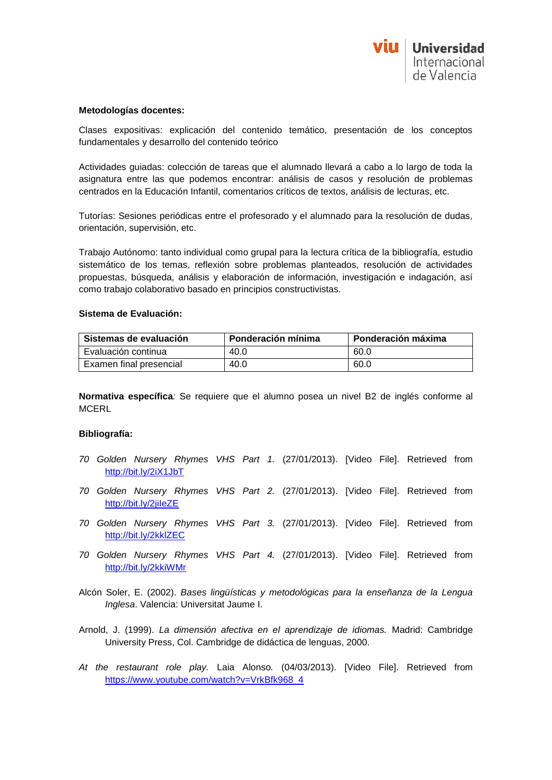

#### **Metodologías docentes:**

Clases expositivas: explicación del contenido temático, presentación de los conceptos fundamentales y desarrollo del contenido teórico

Actividades guiadas: colección de tareas que el alumnado llevará a cabo a lo largo de toda la asignatura entre las que podemos encontrar: análisis de casos y resolución de problemas centrados en la Educación Infantil, comentarios críticos de textos, análisis de lecturas, etc.

Tutorías: Sesiones periódicas entre el profesorado y el alumnado para la resolución de dudas, orientación, supervisión, etc.

Trabajo Autónomo: tanto individual como grupal para la lectura crítica de la bibliografía, estudio sistemático de los temas, reflexión sobre problemas planteados, resolución de actividades propuestas, búsqueda, análisis y elaboración de información, investigación e indagación, así como trabajo colaborativo basado en principios constructivistas.

#### **Sistema de Evaluación:**

| Sistemas de evaluación  | Ponderación mínima | Ponderación máxima |
|-------------------------|--------------------|--------------------|
| Evaluación continua     | 40.0               | 60.0               |
| Examen final presencial | 40.0               | 60.0               |

**Normativa específica***:* Se requiere que el alumno posea un nivel B2 de inglés conforme al **MCERL** 

### **Bibliografía:**

- *70 Golden Nursery Rhymes VHS Part 1.* (27/01/2013). [Video File]. Retrieved from <http://bit.ly/2iX1JbT>
- *70 Golden Nursery Rhymes VHS Part 2.* (27/01/2013). [Video File]. Retrieved from <http://bit.ly/2jiIeZE>
- *70 Golden Nursery Rhymes VHS Part 3.* (27/01/2013). [Video File]. Retrieved from <http://bit.ly/2kklZEC>
- *70 Golden Nursery Rhymes VHS Part 4.* (27/01/2013). [Video File]. Retrieved from <http://bit.ly/2kkiWMr>
- Alcón Soler, E. (2002). *Bases lingüísticas y metodológicas para la enseñanza de la Lengua Inglesa*. Valencia: Universitat Jaume I.
- Arnold, J. (1999). *La dimensión afectiva en el aprendizaje de idiomas.* Madrid: Cambridge University Press, Col. Cambridge de didáctica de lenguas, 2000.
- *At the restaurant role play.* Laia Alonso*.* (04/03/2013). [Video File]. Retrieved from [https://www.youtube.com/watch?v=VrkBfk968\\_4](https://www.youtube.com/watch?v=VrkBfk968_4)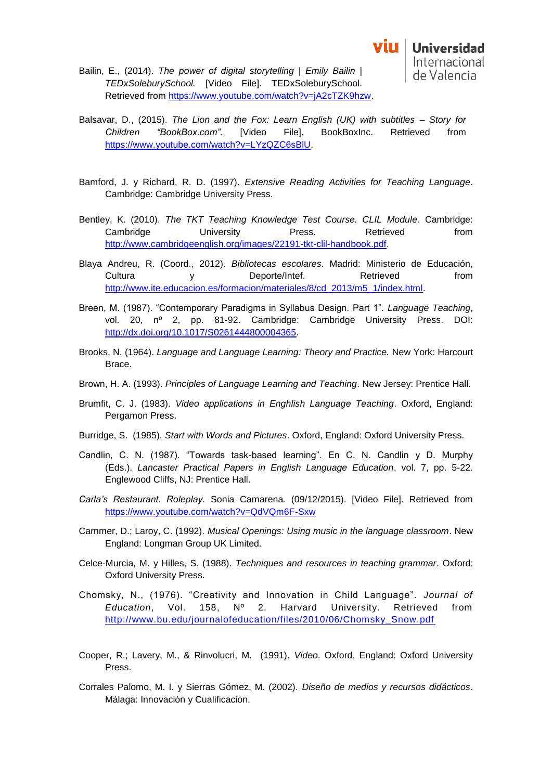- Bailin, E., (2014). *The power of digital storytelling | Emily Bailin | TEDxSoleburySchool.* [Video File]. TEDxSoleburySchool. Retrieved from [https://www.youtube.com/watch?v=jA2cTZK9hzw.](https://www.youtube.com/watch?v=jA2cTZK9hzw)
- Balsavar, D., (2015). *The Lion and the Fox: Learn English (UK) with subtitles – Story for Children "BookBox.com".* [Video File]. BookBoxInc. Retrieved from [https://www.youtube.com/watch?v=LYzQZC6sBlU.](https://www.youtube.com/watch?v=LYzQZC6sBlU)
- Bamford, J. y Richard, R. D. (1997). *Extensive Reading Activities for Teaching Language*. Cambridge: Cambridge University Press.
- Bentley, K. (2010). *The TKT Teaching Knowledge Test Course. CLIL Module*. Cambridge: Cambridge University Press. Retrieved from [http://www.cambridgeenglish.org/images/22191-tkt-clil-handbook.pdf.](http://www.cambridgeenglish.org/images/22191-tkt-clil-handbook.pdf)
- Blaya Andreu, R. (Coord., 2012). *Bibliotecas escolares*. Madrid: Ministerio de Educación, Cultura y Deporte/Intef. Retrieved from [http://www.ite.educacion.es/formacion/materiales/8/cd\\_2013/m5\\_1/index.html.](http://www.ite.educacion.es/formacion/materiales/8/cd_2013/m5_1/index.html)
- Breen, M. (1987). "Contemporary Paradigms in Syllabus Design. Part 1". *Language Teaching*, vol. 20, nº 2, pp. 81-92. Cambridge: Cambridge University Press. DOI: [http://dx.doi.org/10.1017/S0261444800004365.](http://dx.doi.org/10.1017/S0261444800004365)
- Brooks, N. (1964). *Language and Language Learning: Theory and Practice.* New York: Harcourt Brace.
- Brown, H. A. (1993). *Principles of Language Learning and Teaching*. New Jersey: Prentice Hall.
- Brumfit, C. J. (1983). *Video applications in Enghlish Language Teaching*. Oxford, England: Pergamon Press.
- Burridge, S. (1985). *Start with Words and Pictures*. Oxford, England: Oxford University Press.
- Candlin, C. N. (1987). "Towards task-based learning". En C. N. Candlin y D. Murphy (Eds.). *Lancaster Practical Papers in English Language Education*, vol. 7, pp. 5-22. Englewood Cliffs, NJ: Prentice Hall.
- *Carla's Restaurant. Roleplay.* Sonia Camarena*.* (09/12/2015). [Video File]. Retrieved from <https://www.youtube.com/watch?v=QdVQm6F-Sxw>
- Carnmer, D.; Laroy, C. (1992). *Musical Openings: Using music in the language classroom*. New England: Longman Group UK Limited.
- Celce-Murcia, M. y Hilles, S. (1988). *Techniques and resources in teaching grammar*. Oxford: Oxford University Press.
- Chomsky, N., (1976). "Creativity and Innovation in Child Language". *Journal of Education*, Vol. 158, Nº 2. Harvard University. Retrieved from [http://www.bu.edu/journalofeducation/files/2010/06/Chomsky\\_Snow.pdf](http://www.bu.edu/journalofeducation/files/2010/06/Chomsky_Snow.pdf)
- Cooper, R.; Lavery, M., & Rinvolucri, M. (1991). *Video*. Oxford, England: Oxford University Press.
- Corrales Palomo, M. I. y Sierras Gómez, M. (2002). *Diseño de medios y recursos didácticos*. Málaga: Innovación y Cualificación.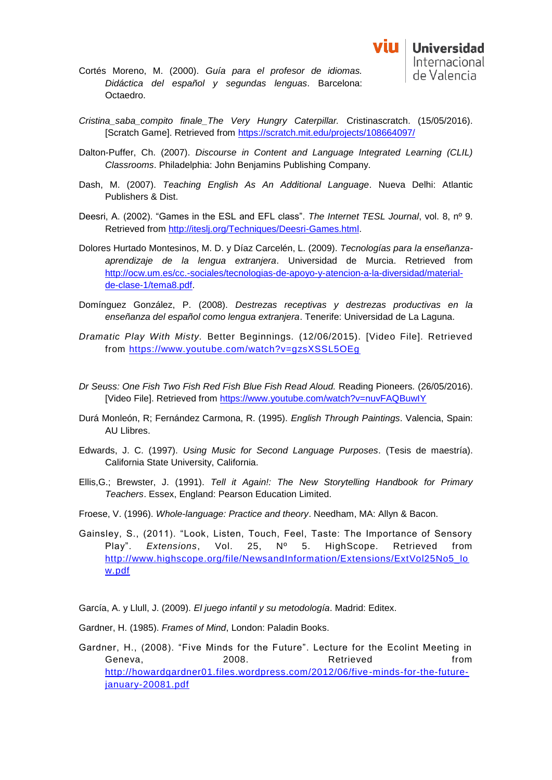

- Cortés Moreno, M. (2000). *Guía para el profesor de idiomas. Didáctica del español y segundas lenguas*. Barcelona: Octaedro.
- *Cristina\_saba\_compito finale\_The Very Hungry Caterpillar.* Cristinascratch. (15/05/2016). [Scratch Game]. Retrieved from<https://scratch.mit.edu/projects/108664097/>
- Dalton-Puffer, Ch. (2007). *Discourse in Content and Language Integrated Learning (CLIL) Classrooms*. Philadelphia: John Benjamins Publishing Company.
- Dash, M. (2007). *Teaching English As An Additional Language*. Nueva Delhi: Atlantic Publishers & Dist.
- Deesri, A. (2002). "Games in the ESL and EFL class". *The Internet TESL Journal*, vol. 8, nº 9. Retrieved from [http://iteslj.org/Techniques/Deesri-Games.html.](http://iteslj.org/Techniques/Deesri-Games.html)
- Dolores Hurtado Montesinos, M. D. y Díaz Carcelén, L. (2009). *Tecnologías para la enseñanzaaprendizaje de la lengua extranjera*. Universidad de Murcia. Retrieved from [http://ocw.um.es/cc.-sociales/tecnologias-de-apoyo-y-atencion-a-la-diversidad/material](http://ocw.um.es/cc.-sociales/tecnologias-de-apoyo-y-atencion-a-la-diversidad/material-de-clase-1/tema8.pdf)[de-clase-1/tema8.pdf.](http://ocw.um.es/cc.-sociales/tecnologias-de-apoyo-y-atencion-a-la-diversidad/material-de-clase-1/tema8.pdf)
- Domínguez González, P. (2008). *Destrezas receptivas y destrezas productivas en la enseñanza del español como lengua extranjera*. Tenerife: Universidad de La Laguna.
- *Dramatic Play With Misty.* Better Beginnings*.* (12/06/2015). [Video File]. Retrieved from<https://www.youtube.com/watch?v=gzsXSSL5OEg>
- *Dr Seuss: One Fish Two Fish Red Fish Blue Fish Read Aloud.* Reading Pioneers*.* (26/05/2016). [Video File]. Retrieved from<https://www.youtube.com/watch?v=nuvFAQBuwIY>
- Durá Monleón, R; Fernández Carmona, R. (1995). *English Through Paintings*. Valencia, Spain: AU Llibres.
- Edwards, J. C. (1997). *Using Music for Second Language Purposes*. (Tesis de maestría). California State University, California.
- Ellis,G.; Brewster, J. (1991). *Tell it Again!: The New Storytelling Handbook for Primary Teachers*. Essex, England: Pearson Education Limited.
- Froese, V. (1996). *Whole-language: Practice and theory*. Needham, MA: Allyn & Bacon.
- Gainsley, S., (2011). "Look, Listen, Touch, Feel, Taste: The Importance of Sensory Play". *Extensions*, Vol. 25, Nº 5. HighScope. Retrieved from [http://www.highscope.org/file/NewsandInformation/Extensions/ExtVol25No5\\_lo](http://www.highscope.org/file/NewsandInformation/Extensions/ExtVol25No5_low.pdf) [w.pdf](http://www.highscope.org/file/NewsandInformation/Extensions/ExtVol25No5_low.pdf)

García, A. y Llull, J. (2009). *El juego infantil y su metodología*. Madrid: Editex.

- Gardner, H. (1985). *Frames of Mind*, London: Paladin Books.
- Gardner, H., (2008). "Five Minds for the Future". Lecture for the Ecolint Meeting in Geneva, 2008. Retrieved from [http://howardgardner01.files.wordpress.com/2012/06/five-minds-for-the-future](http://howardgardner01.files.wordpress.com/2012/06/five-minds-for-the-future-january-20081.pdf)[january-20081.pdf](http://howardgardner01.files.wordpress.com/2012/06/five-minds-for-the-future-january-20081.pdf)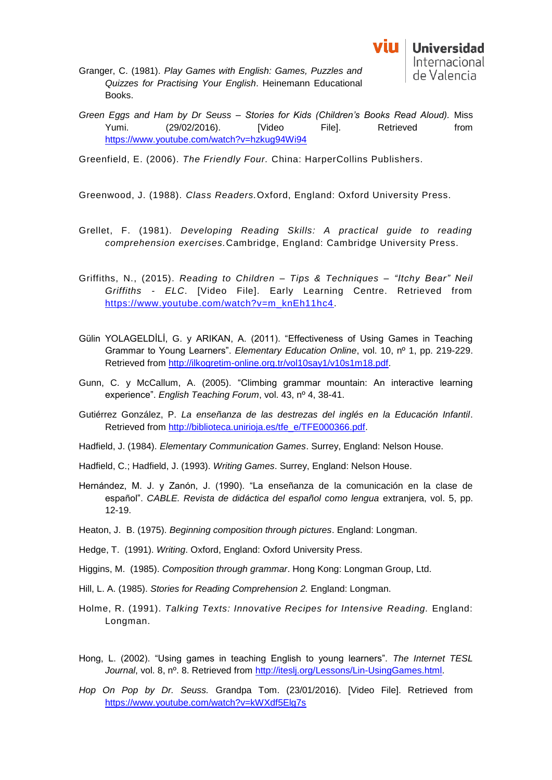- Granger, C. (1981). *Play Games with English: Games, Puzzles and Quizzes for Practising Your English*. Heinemann Educational Books.
- *Green Eggs and Ham by Dr Seuss – Stories for Kids (Children's Books Read Aloud).* Miss Yumi. (29/02/2016). [Video File]. Retrieved from <https://www.youtube.com/watch?v=hzkug94Wi94>
- Greenfield, E. (2006). *The Friendly Four.* China: HarperCollins Publishers.

Greenwood, J. (1988). *Class Readers.*Oxford, England: Oxford University Press.

- Grellet, F. (1981). *Developing Reading Skills: A practical guide to reading comprehension exercises.*Cambridge, England: Cambridge University Press.
- Griffiths, N., (2015). *Reading to Children – Tips & Techniques – "Itchy Bear" Neil Griffiths - ELC*. [Video File]. Early Learning Centre. Retrieved from [https://www.youtube.com/watch?v=m\\_knEh11hc4.](https://www.youtube.com/watch?v=m_knEh11hc4)
- Gülin YOLAGELDİLİ, G. y ARIKAN, A. (2011). "Effectiveness of Using Games in Teaching Grammar to Young Learners". *Elementary Education Online*, vol. 10, nº 1, pp. 219-229. Retrieved from [http://ilkogretim-online.org.tr/vol10say1/v10s1m18.pdf.](http://ilkogretim-online.org.tr/vol10say1/v10s1m18.pdf)
- Gunn, C. y McCallum, A. (2005). "Climbing grammar mountain: An interactive learning experience". *English Teaching Forum*, vol. 43, nº 4, 38-41.
- Gutiérrez González, P. *La enseñanza de las destrezas del inglés en la Educación Infantil*. Retrieved from [http://biblioteca.unirioja.es/tfe\\_e/TFE000366.pdf.](http://biblioteca.unirioja.es/tfe_e/TFE000366.pdf)
- Hadfield, J. (1984). *Elementary Communication Games*. Surrey, England: Nelson House.
- Hadfield, C.; Hadfield, J. (1993). *Writing Games*. Surrey, England: Nelson House.
- Hernández, M. J. y Zanón, J. (1990). "La enseñanza de la comunicación en la clase de español". *CABLE. Revista de didáctica del español como lengua* extranjera, vol. 5, pp. 12-19.
- Heaton, J. B. (1975). *Beginning composition through pictures*. England: Longman.
- Hedge, T. (1991). *Writing*. Oxford, England: Oxford University Press.
- Higgins, M. (1985). *Composition through grammar*. Hong Kong: Longman Group, Ltd.
- Hill, L. A. (1985). *Stories for Reading Comprehension 2.* England: Longman.
- Holme, R. (1991). *Talking Texts: Innovative Recipes for Intensive Reading.* England: Longman.
- Hong, L. (2002). "Using games in teaching English to young learners". *The Internet TESL Journal*, vol. 8, nº. 8. Retrieved from [http://iteslj.org/Lessons/Lin-UsingGames.html.](http://iteslj.org/Lessons/Lin-UsingGames.html)
- *Hop On Pop by Dr. Seuss.* Grandpa Tom. (23/01/2016). [Video File]. Retrieved from <https://www.youtube.com/watch?v=kWXdf5Elg7s>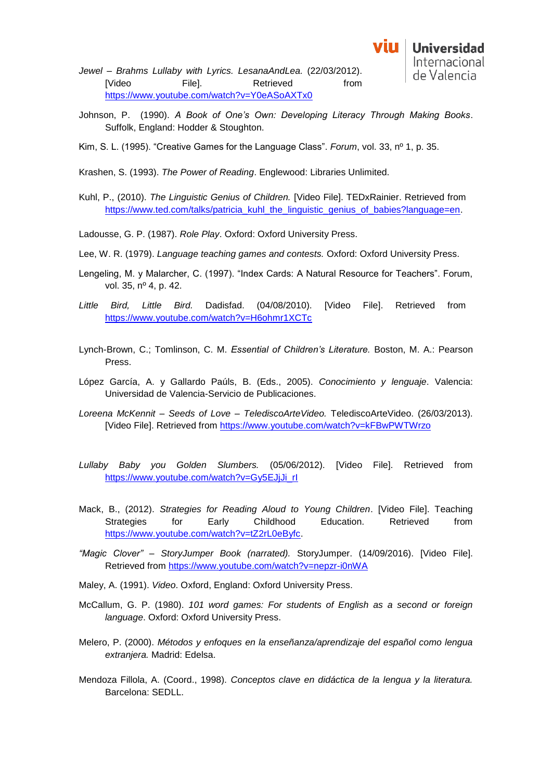*Jewel – Brahms Lullaby with Lyrics. LesanaAndLea.* (22/03/2012). [Video File]. Retrieved from <https://www.youtube.com/watch?v=Y0eASoAXTx0>

- Johnson, P. (1990). *A Book of One's Own: Developing Literacy Through Making Books*. Suffolk, England: Hodder & Stoughton.
- Kim, S. L. (1995). "Creative Games for the Language Class". *Forum*, vol. 33, nº 1, p. 35.
- Krashen, S. (1993). *The Power of Reading*. Englewood: Libraries Unlimited.
- Kuhl, P., (2010). *The Linguistic Genius of Children.* [Video File]. TEDxRainier. Retrieved from [https://www.ted.com/talks/patricia\\_kuhl\\_the\\_linguistic\\_genius\\_of\\_babies?language=en.](https://www.ted.com/talks/patricia_kuhl_the_linguistic_genius_of_babies?language=en)
- Ladousse, G. P. (1987). *Role Play*. Oxford: Oxford University Press.
- Lee, W. R. (1979). *Language teaching games and contests.* Oxford: Oxford University Press.
- Lengeling, M. y Malarcher, C. (1997). "Index Cards: A Natural Resource for Teachers". Forum, vol. 35, nº 4, p. 42.
- *Little Bird, Little Bird.* Dadisfad. (04/08/2010). [Video File]. Retrieved from <https://www.youtube.com/watch?v=H6ohmr1XCTc>
- Lynch-Brown, C.; Tomlinson, C. M. *Essential of Children's Literature.* Boston, M. A.: Pearson Press.
- López García, A. y Gallardo Paúls, B. (Eds., 2005). *Conocimiento y lenguaje*. Valencia: Universidad de Valencia-Servicio de Publicaciones.
- *Loreena McKennit – Seeds of Love – TelediscoArteVideo.* TelediscoArteVideo. (26/03/2013). [Video File]. Retrieved from<https://www.youtube.com/watch?v=kFBwPWTWrzo>
- *Lullaby Baby you Golden Slumbers.* (05/06/2012). [Video File]. Retrieved from [https://www.youtube.com/watch?v=Gy5EJjJi\\_rI](https://www.youtube.com/watch?v=Gy5EJjJi_rI)
- Mack, B., (2012). *Strategies for Reading Aloud to Young Children*. [Video File]. Teaching Strategies for Early Childhood Education. Retrieved from [https://www.youtube.com/watch?v=tZ2rL0eByfc.](https://www.youtube.com/watch?v=tZ2rL0eByfc)
- *"Magic Clover" – StoryJumper Book (narrated).* StoryJumper. (14/09/2016). [Video File]. Retrieved from<https://www.youtube.com/watch?v=nepzr-i0nWA>
- Maley, A. (1991). *Video*. Oxford, England: Oxford University Press.
- McCallum, G. P. (1980). *101 word games: For students of English as a second or foreign language*. Oxford: Oxford University Press.
- Melero, P. (2000). *Métodos y enfoques en la enseñanza/aprendizaje del español como lengua extranjera.* Madrid: Edelsa.
- Mendoza Fillola, A. (Coord., 1998). *Conceptos clave en didáctica de la lengua y la literatura.* Barcelona: SEDLL.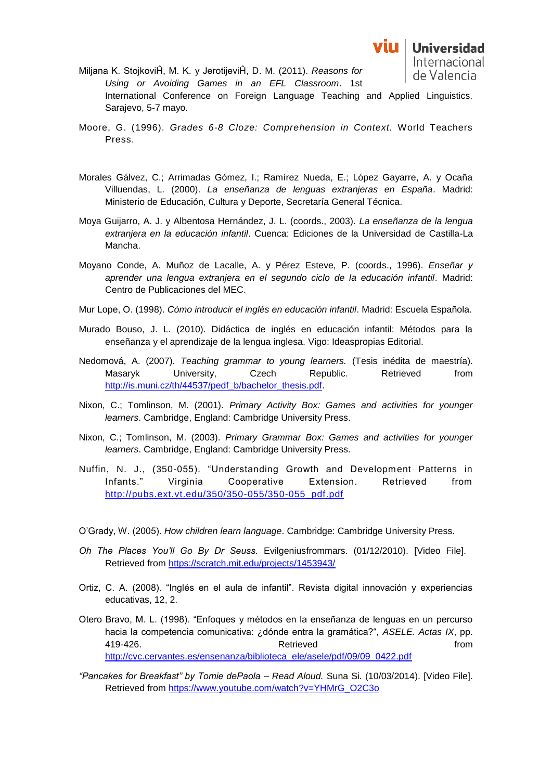

- Miljana K. StojkoviĤ, M. K. y JerotijeviĤ, D. M. (2011). *Reasons for*  de Valencia *Using or Avoiding Games in an EFL Classroom*. 1st International Conference on Foreign Language Teaching and Applied Linguistics. Sarajevo, 5-7 mayo.
- Moore, G. (1996). *Grades 6-8 Cloze: Comprehension in Context.* World Teachers Press.
- Morales Gálvez, C.; Arrimadas Gómez, I.; Ramírez Nueda, E.; López Gayarre, A. y Ocaña Villuendas, L. (2000). *La enseñanza de lenguas extranjeras en España*. Madrid: Ministerio de Educación, Cultura y Deporte, Secretaría General Técnica.
- Moya Guijarro, A. J. y Albentosa Hernández, J. L. (coords., 2003). *La enseñanza de la lengua extranjera en la educación infantil*. Cuenca: Ediciones de la Universidad de Castilla-La Mancha.
- Moyano Conde, A. Muñoz de Lacalle, A. y Pérez Esteve, P. (coords., 1996). *Enseñar y aprender una lengua extranjera en el segundo ciclo de la educación infantil*. Madrid: Centro de Publicaciones del MEC.
- Mur Lope, O. (1998). *Cómo introducir el inglés en educación infantil*. Madrid: Escuela Española.
- Murado Bouso, J. L. (2010). Didáctica de inglés en educación infantil: Métodos para la enseñanza y el aprendizaje de la lengua inglesa. Vigo: Ideaspropias Editorial.
- Nedomová, A. (2007). *Teaching grammar to young learners.* (Tesis inédita de maestría). Masaryk University, Czech Republic. Retrieved from [http://is.muni.cz/th/44537/pedf\\_b/bachelor\\_thesis.pdf.](http://is.muni.cz/th/44537/pedf_b/bachelor_thesis.pdf)
- Nixon, C.; Tomlinson, M. (2001). *Primary Activity Box: Games and activities for younger learners*. Cambridge, England: Cambridge University Press.
- Nixon, C.; Tomlinson, M. (2003). *Primary Grammar Box: Games and activities for younger learners*. Cambridge, England: Cambridge University Press.
- Nuffin, N. J., (350-055). "Understanding Growth and Development Patterns in Infants." Virginia Cooperative Extension. Retrieved from [http://pubs.ext.vt.edu/350/350-055/350-055\\_pdf.pdf](http://pubs.ext.vt.edu/350/350-055/350-055_pdf.pdf)
- O'Grady, W. (2005). *How children learn language*. Cambridge: Cambridge University Press.
- *Oh The Places You'll Go By Dr Seuss.* Evilgeniusfrommars. (01/12/2010). [Video File]. Retrieved from<https://scratch.mit.edu/projects/1453943/>
- Ortiz, C. A. (2008). "Inglés en el aula de infantil". Revista digital innovación y experiencias educativas, 12, 2.
- Otero Bravo, M. L. (1998). "Enfoques y métodos en la enseñanza de lenguas en un percurso hacia la competencia comunicativa: ¿dónde entra la gramática?", *ASELE. Actas IX*, pp. 419-426. Retrieved from [http://cvc.cervantes.es/ensenanza/biblioteca\\_ele/asele/pdf/09/09\\_0422.pdf](http://cvc.cervantes.es/ensenanza/biblioteca_ele/asele/pdf/09/09_0422.pdf)
- *"Pancakes for Breakfast" by Tomie dePaola – Read Aloud.* Suna Si*.* (10/03/2014). [Video File]. Retrieved from [https://www.youtube.com/watch?v=YHMrG\\_O2C3o](https://www.youtube.com/watch?v=YHMrG_O2C3o)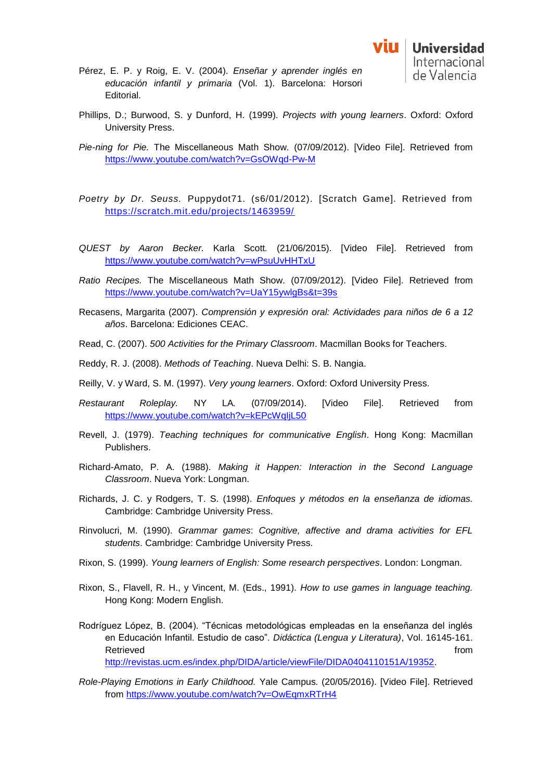- Pérez, E. P. y Roig, E. V. (2004). *Enseñar y aprender inglés en educación infantil y primaria* (Vol. 1). Barcelona: Horsori Editorial.
- Phillips, D.; Burwood, S. y Dunford, H. (1999). *Projects with young learners*. Oxford: Oxford University Press.
- *Pie-ning for Pie.* The Miscellaneous Math Show*.* (07/09/2012). [Video File]. Retrieved from <https://www.youtube.com/watch?v=GsOWqd-Pw-M>
- *Poetry by Dr. Seuss.* Puppydot71. (s6/01/2012). [Scratch Game]. Retrieved from <https://scratch.mit.edu/projects/1463959/>
- *QUEST by Aaron Becker.* Karla Scott*.* (21/06/2015). [Video File]. Retrieved from <https://www.youtube.com/watch?v=wPsuUvHHTxU>
- *Ratio Recipes.* The Miscellaneous Math Show*.* (07/09/2012). [Video File]. Retrieved from <https://www.youtube.com/watch?v=UaY15ywlgBs&t=39s>
- Recasens, Margarita (2007). *Comprensión y expresión oral: Actividades para niños de 6 a 12 años*. Barcelona: Ediciones CEAC.
- Read, C. (2007). *500 Activities for the Primary Classroom*. Macmillan Books for Teachers.
- Reddy, R. J. (2008). *Methods of Teaching*. Nueva Delhi: S. B. Nangia.
- Reilly, V. y Ward, S. M. (1997). *Very young learners*. Oxford: Oxford University Press.
- *Restaurant Roleplay.* NY LA*.* (07/09/2014). [Video File]. Retrieved from <https://www.youtube.com/watch?v=kEPcWqIjL50>
- Revell, J. (1979). *Teaching techniques for communicative English*. Hong Kong: Macmillan Publishers.
- Richard-Amato, P. A. (1988). *Making it Happen: Interaction in the Second Language Classroom*. Nueva York: Longman.
- Richards, J. C. y Rodgers, T. S. (1998). *Enfoques y métodos en la enseñanza de idiomas.* Cambridge: Cambridge University Press.
- Rinvolucri, M. (1990). *Grammar games*: *Cognitive, affective and drama activities for EFL students*. Cambridge: Cambridge University Press.
- Rixon, S. (1999). *Young learners of English: Some research perspectives*. London: Longman.
- Rixon, S., Flavell, R. H., y Vincent, M. (Eds., 1991). *How to use games in language teaching.*  Hong Kong: Modern English.
- Rodríguez López, B. (2004). "Técnicas metodológicas empleadas en la enseñanza del inglés en Educación Infantil. Estudio de caso". *Didáctica (Lengua y Literatura)*, Vol. 16145-161. Retrieved **from the set of the set of the set of the set of the set of the set of the set of the set of the set of the set of the set of the set of the set of the set of the set of the set of the set of the set of the set** [http://revistas.ucm.es/index.php/DIDA/article/viewFile/DIDA0404110151A/19352.](http://revistas.ucm.es/index.php/DIDA/article/viewFile/DIDA0404110151A/19352)
- *Role-Playing Emotions in Early Childhood.* Yale Campus*.* (20/05/2016). [Video File]. Retrieved from<https://www.youtube.com/watch?v=OwEqmxRTrH4>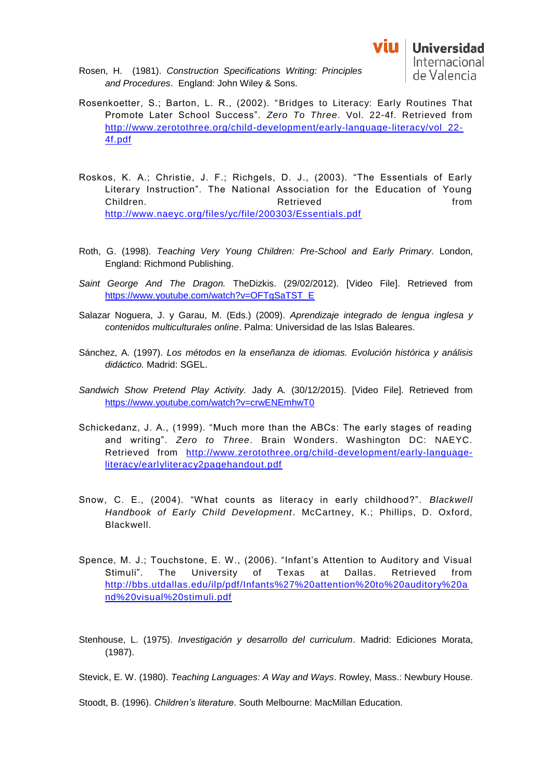- Rosenkoetter, S.; Barton, L. R., (2002). "Bridges to Literacy: Early Routines That Promote Later School Success". *Zero To Three*. Vol. 22-4f. Retrieved from [http://www.zerotothree.org/child-development/early-language-literacy/vol\\_22-](http://www.zerotothree.org/child-development/early-language-literacy/vol_22-4f.pdf) [4f.pdf](http://www.zerotothree.org/child-development/early-language-literacy/vol_22-4f.pdf)
- Roskos, K. A.; Christie, J. F.; Richgels, D. J., (2003). "The Essentials of Early Literary Instruction". The National Association for the Education of Young Children. **Retrieved children from** <http://www.naeyc.org/files/yc/file/200303/Essentials.pdf>
- Roth, G. (1998). *Teaching Very Young Children: Pre-School and Early Primary*. London, England: Richmond Publishing.
- *Saint George And The Dragon.* TheDizkis. (29/02/2012). [Video File]. Retrieved from [https://www.youtube.com/watch?v=OFTgSaTST\\_E](https://www.youtube.com/watch?v=OFTgSaTST_E)
- Salazar Noguera, J. y Garau, M. (Eds.) (2009). *Aprendizaje integrado de lengua inglesa y contenidos multiculturales online*. Palma: Universidad de las Islas Baleares.
- Sánchez, A. (1997). *Los métodos en la enseñanza de idiomas. Evolución histórica y análisis didáctico.* Madrid: SGEL.
- *Sandwich Show Pretend Play Activity.* Jady A*.* (30/12/2015). [Video File]. Retrieved from <https://www.youtube.com/watch?v=crwENEmhwT0>
- Schickedanz, J. A., (1999). "Much more than the ABCs: The early stages of reading and writing". *Zero to Three*. Brain Wonders. Washington DC: NAEYC. Retrieved from [http://www.zerotothree.org/child-development/early-language](http://www.zerotothree.org/child-development/early-language-literacy/earlyliteracy2pagehandout.pdf)[literacy/earlyliteracy2pagehandout.pdf](http://www.zerotothree.org/child-development/early-language-literacy/earlyliteracy2pagehandout.pdf)
- Snow, C. E., (2004). "What counts as literacy in early childhood?". *Blackwell Handbook of Early Child Development*. McCartney, K.; Phillips, D. Oxford, Blackwell.
- Spence, M. J.; Touchstone, E. W., (2006). "Infant's Attention to Auditory and Visual Stimuli". The University of Texas at Dallas. Retrieved from [http://bbs.utdallas.edu/ilp/pdf/Infants%27%20attention%20to%20auditory%20a](http://bbs.utdallas.edu/ilp/pdf/Infants%27%20attention%20to%20auditory%20and%20visual%20stimuli.pdf) [nd%20visual%20stimuli.pdf](http://bbs.utdallas.edu/ilp/pdf/Infants%27%20attention%20to%20auditory%20and%20visual%20stimuli.pdf)
- Stenhouse, L. (1975). *Investigación y desarrollo del curriculum*. Madrid: Ediciones Morata, (1987).

Stevick, E. W. (1980). *Teaching Languages: A Way and Ways*. Rowley, Mass.: Newbury House.

Stoodt, B. (1996). *Children's literature*. South Melbourne: MacMillan Education.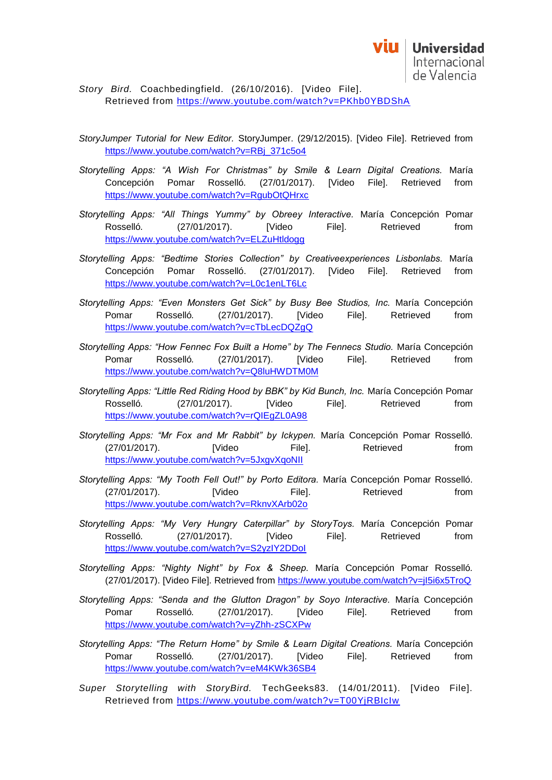*Story Bird.* Coachbedingfield. (26/10/2016). [Video File]. Retrieved from<https://www.youtube.com/watch?v=PKhb0YBDShA>

- *StoryJumper Tutorial for New Editor.* StoryJumper. (29/12/2015). [Video File]. Retrieved from https://www.youtube.com/watch?v=RBj\_371c5o4
- *Storytelling Apps: "A Wish For Christmas" by Smile & Learn Digital Creations.* María Concepción Pomar Rosselló*.* (27/01/2017). [Video File]. Retrieved from <https://www.youtube.com/watch?v=RgubOtQHrxc>
- *Storytelling Apps: "All Things Yummy" by Obreey Interactive.* María Concepción Pomar Rosselló. (27/01/2017). [Video File]. Retrieved from <https://www.youtube.com/watch?v=ELZuHtldogg>
- *Storytelling Apps: "Bedtime Stories Collection" by Creativeexperiences Lisbonlabs.* María Concepción Pomar Rosselló. (27/01/2017). [Video File]. Retrieved from <https://www.youtube.com/watch?v=L0c1enLT6Lc>
- *Storytelling Apps: "Even Monsters Get Sick" by Busy Bee Studios, Inc.* María Concepción Pomar Rosselló*.* (27/01/2017). [Video File]. Retrieved from <https://www.youtube.com/watch?v=cTbLecDQZgQ>
- *Storytelling Apps: "How Fennec Fox Built a Home" by The Fennecs Studio.* María Concepción Pomar Rosselló*.* (27/01/2017). [Video File]. Retrieved from <https://www.youtube.com/watch?v=Q8luHWDTM0M>
- *Storytelling Apps: "Little Red Riding Hood by BBK" by Kid Bunch, Inc.* María Concepción Pomar Rosselló*.* (27/01/2017). [Video File]. Retrieved from <https://www.youtube.com/watch?v=rQIEgZL0A98>
- *Storytelling Apps: "Mr Fox and Mr Rabbit" by Ickypen.* María Concepción Pomar Rosselló*.*  (27/01/2017). [Video File]. Retrieved from <https://www.youtube.com/watch?v=5JxgvXqoNII>
- *Storytelling Apps: "My Tooth Fell Out!" by Porto Editora.* María Concepción Pomar Rosselló. (27/01/2017). [Video File]. Retrieved from <https://www.youtube.com/watch?v=RknvXArb02o>
- *Storytelling Apps: "My Very Hungry Caterpillar" by StoryToys.* María Concepción Pomar Rosselló*.* (27/01/2017). [Video File]. Retrieved from <https://www.youtube.com/watch?v=S2yzIY2DDoI>
- *Storytelling Apps: "Nighty Night" by Fox & Sheep.* María Concepción Pomar Rosselló*.*  (27/01/2017). [Video File]. Retrieved from<https://www.youtube.com/watch?v=jI5i6x5TroQ>
- *Storytelling Apps: "Senda and the Glutton Dragon" by Soyo Interactive.* María Concepción Pomar Rosselló*.* (27/01/2017). [Video File]. Retrieved from <https://www.youtube.com/watch?v=yZhh-zSCXPw>
- *Storytelling Apps: "The Return Home" by Smile & Learn Digital Creations.* María Concepción Pomar Rosselló*.* (27/01/2017). [Video File]. Retrieved from <https://www.youtube.com/watch?v=eM4KWk36SB4>
- *Super Storytelling with StoryBird.* TechGeeks83. (14/01/2011). [Video File]. Retrieved from<https://www.youtube.com/watch?v=T00YjRBIcIw>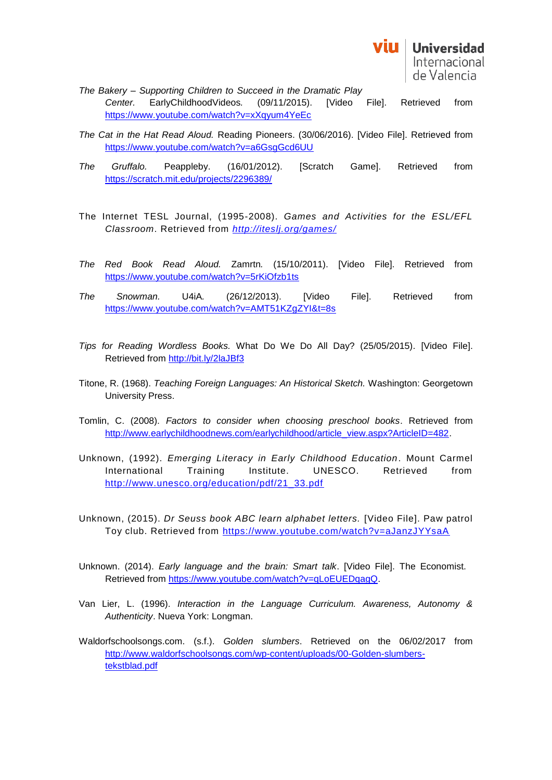

- *The Bakery – Supporting Children to Succeed in the Dramatic Play Center.* EarlyChildhoodVideos*.* (09/11/2015). [Video File]. Retrieved from <https://www.youtube.com/watch?v=xXqyum4YeEc>
- *The Cat in the Hat Read Aloud.* Reading Pioneers. (30/06/2016). [Video File]. Retrieved from <https://www.youtube.com/watch?v=a6GsgGcd6UU>
- *The Gruffalo.* Peappleby. (16/01/2012). [Scratch Game]. Retrieved from <https://scratch.mit.edu/projects/2296389/>
- The Internet TESL Journal, (1995-2008). *Games and Activities for the ESL/EFL Classroom*. Retrieved from *<http://iteslj.org/games/>*
- *The Red Book Read Aloud.* Zamrtn*.* (15/10/2011). [Video File]. Retrieved from <https://www.youtube.com/watch?v=5rKiOfzb1ts>
- *The Snowman.* U4iA*.* (26/12/2013). [Video File]. Retrieved from <https://www.youtube.com/watch?v=AMT51KZgZYI&t=8s>
- *Tips for Reading Wordless Books.* What Do We Do All Day? (25/05/2015). [Video File]. Retrieved from<http://bit.ly/2laJBf3>
- Titone, R. (1968). *Teaching Foreign Languages: An Historical Sketch.* Washington: Georgetown University Press.
- Tomlin, C. (2008). *Factors to consider when choosing preschool books*. Retrieved from [http://www.earlychildhoodnews.com/earlychildhood/article\\_view.aspx?ArticleID=482.](http://www.earlychildhoodnews.com/earlychildhood/article_view.aspx?ArticleID=482)
- Unknown, (1992). *Emerging Literacy in Early Childhood Education*. Mount Carmel International Training Institute. UNESCO. Retrieved from [http://www.unesco.org/education/pdf/21\\_33.pdf](http://www.unesco.org/education/pdf/21_33.pdf)
- Unknown, (2015). *Dr Seuss book ABC learn alphabet letters.* [Video File]. Paw patrol Toy club. Retrieved from<https://www.youtube.com/watch?v=aJanzJYYsaA>
- Unknown. (2014). *Early language and the brain: Smart talk*. [Video File]. The Economist. Retrieved from [https://www.youtube.com/watch?v=qLoEUEDqagQ.](https://www.youtube.com/watch?v=qLoEUEDqagQ)
- Van Lier, L. (1996). *Interaction in the Language Curriculum. Awareness, Autonomy & Authenticity*. Nueva York: Longman.
- Waldorfschoolsongs.com. (s.f.). *Golden slumbers*. Retrieved on the 06/02/2017 from [http://www.waldorfschoolsongs.com/wp-content/uploads/00-Golden-slumbers](http://www.waldorfschoolsongs.com/wp-content/uploads/00-Golden-slumbers-tekstblad.pdf)[tekstblad.pdf](http://www.waldorfschoolsongs.com/wp-content/uploads/00-Golden-slumbers-tekstblad.pdf)